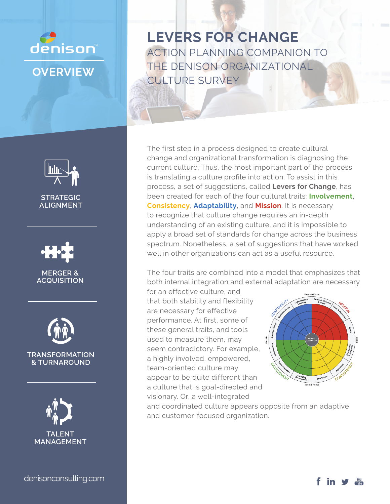

**LEVERS FOR CHANGE** ACTION PLANNING COMPANION TO THE DENISON ORGANIZATIONAL CULTURE SURVEY

The first step in a process designed to create cultural change and organizational transformation is diagnosing the current culture. Thus, the most important part of the process is translating a culture profile into action. To assist in this process, a set of suggestions, called **Levers for Change**, has been created for each of the four cultural traits: **Involvement**, **Consistency**, **Adaptability**, and **Mission**. It is necessary to recognize that culture change requires an in-depth understanding of an existing culture, and it is impossible to apply a broad set of standards for change across the business spectrum. Nonetheless, a set of suggestions that have worked well in other organizations can act as a useful resource.

The four traits are combined into a model that emphasizes that both internal integration and external adaptation are necessary

for an effective culture, and that both stability and flexibility are necessary for effective performance. At first, some of these general traits, and tools used to measure them, may seem contradictory. For example, a highly involved, empowered, team-oriented culture may appear to be quite different than a culture that is goal-directed and visionary. Or, a well-integrated



and coordinated culture appears opposite from an adaptive and customer-focused organization.



**TRANSFORMATION & TURNAROUND**

**STRATEGIC ALIGNMENT**

**MERGER & ACQUISITION**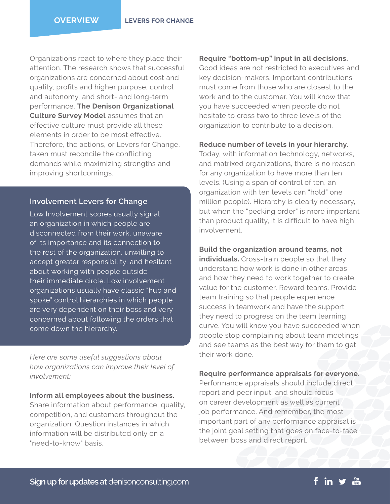Organizations react to where they place their attention. The research shows that successful organizations are concerned about cost and quality, profits and higher purpose, control and autonomy, and short- and long-term performance. **The Denison Organizational Culture Survey Model** assumes that an effective culture must provide all these elements in order to be most effective. Therefore, the actions, or Levers for Change, taken must reconcile the conflicting demands while maximizing strengths and improving shortcomings.

## **Involvement Levers for Change**

Low Involvement scores usually signal an organization in which people are disconnected from their work, unaware of its importance and its connection to the rest of the organization, unwilling to accept greater responsibility, and hesitant about working with people outside their immediate circle. Low involvement organizations usually have classic "hub and spoke" control hierarchies in which people are very dependent on their boss and very concerned about following the orders that come down the hierarchy.

*Here are some useful suggestions about how organizations can improve their level of involvement:*

**Inform all employees about the business.**  Share information about performance, quality, competition, and customers throughout the organization. Question instances in which information will be distributed only on a "need-to-know" basis.

## **Require "bottom-up" input in all decisions.**

Good ideas are not restricted to executives and key decision-makers. Important contributions must come from those who are closest to the work and to the customer. You will know that you have succeeded when people do not hesitate to cross two to three levels of the organization to contribute to a decision.

## **Reduce number of levels in your hierarchy.**

Today, with information technology, networks, and matrixed organizations, there is no reason for any organization to have more than ten levels. (Using a span of control of ten, an organization with ten levels can "hold" one million people). Hierarchy is clearly necessary, but when the "pecking order" is more important than product quality, it is difficult to have high involvement.

## **Build the organization around teams, not**

**individuals.** Cross-train people so that they understand how work is done in other areas and how they need to work together to create value for the customer. Reward teams. Provide team training so that people experience success in teamwork and have the support they need to progress on the team learning curve. You will know you have succeeded when people stop complaining about team meetings and see teams as the best way for them to get their work done.

## **Require performance appraisals for everyone.**

Performance appraisals should include direct report and peer input, and should focus on career development as well as current job performance. And remember, the most important part of any performance appraisal is the joint goal setting that goes on face-to-face between boss and direct report.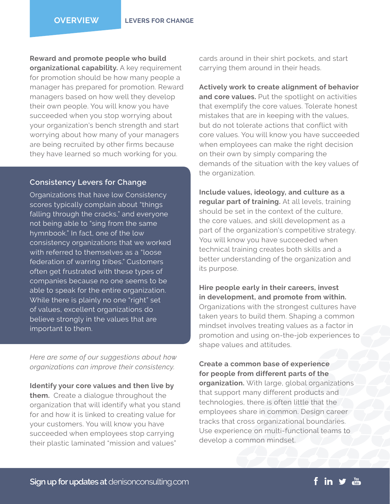**Reward and promote people who build organizational capability.** A key requirement for promotion should be how many people a manager has prepared for promotion. Reward managers based on how well they develop their own people. You will know you have succeeded when you stop worrying about your organization's bench strength and start worrying about how many of your managers are being recruited by other firms because they have learned so much working for you.

## **Consistency Levers for Change**

Organizations that have low Consistency scores typically complain about "things falling through the cracks," and everyone not being able to "sing from the same hymnbook." In fact, one of the low consistency organizations that we worked with referred to themselves as a "loose federation of warring tribes." Customers often get frustrated with these types of companies because no one seems to be able to speak for the entire organization. While there is plainly no one "right" set of values, excellent organizations do believe strongly in the values that are important to them.

*Here are some of our suggestions about how organizations can improve their consistency.*

**Identify your core values and then live by them.** Create a dialogue throughout the organization that will identify what you stand for and how it is linked to creating value for your customers. You will know you have succeeded when employees stop carrying their plastic laminated "mission and values"

cards around in their shirt pockets, and start carrying them around in their heads.

**Actively work to create alignment of behavior and core values.** Put the spotlight on activities that exemplify the core values. Tolerate honest mistakes that are in keeping with the values, but do not tolerate actions that conflict with core values. You will know you have succeeded when employees can make the right decision on their own by simply comparing the demands of the situation with the key values of the organization.

**Include values, ideology, and culture as a regular part of training.** At all levels, training should be set in the context of the culture, the core values, and skill development as a part of the organization's competitive strategy. You will know you have succeeded when technical training creates both skills and a better understanding of the organization and its purpose.

**Hire people early in their careers, invest in development, and promote from within.**  Organizations with the strongest cultures have taken years to build them. Shaping a common mindset involves treating values as a factor in promotion and using on-the-job experiences to shape values and attitudes.

**Create a common base of experience for people from different parts of the organization.** With large, global organizations that support many different products and technologies, there is often little that the employees share in common. Design career tracks that cross organizational boundaries. Use experience on multi-functional teams to develop a common mindset.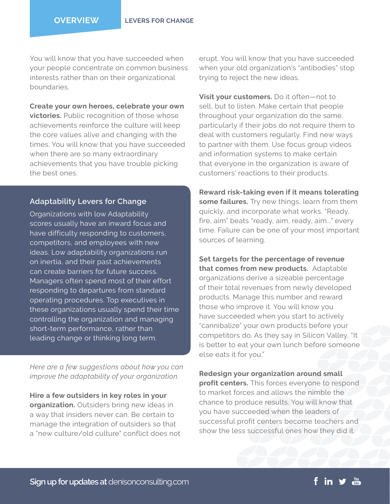You will know that you have succeeded when your people concentrate on common business interests rather than on their organizational boundaries.

**Create your own heroes, celebrate your own victories.** Public recognition of those whose achievements reinforce the culture will keep the core values alive and changing with the times. You will know that you have succeeded when there are so many extraordinary achievements that you have trouble picking the best ones.

## **Adaptability Levers for Change**

Organizations with low Adaptability scores usually have an inward focus and have difficulty responding to customers, competitors, and employees with new ideas. Low adaptability organizations run on inertia, and their past achievements can create barriers for future success. Managers often spend most of their effort responding to departures from standard operating procedures. Top executives in these organizations usually spend their time controlling the organization and managing short-term performance, rather than leading change or thinking long term.

*Here are a few suggestions about how you can improve the adaptability of your organization.*

**Hire a few outsiders in key roles in your organization.** Outsiders bring new ideas in a way that insiders never can. Be certain to manage the integration of outsiders so that a "new culture/old culture" conflict does not erupt. You will know that you have succeeded when your old organization's "antibodies" stop trying to reject the new ideas.

**Visit your customers.** Do it often—not to sell, but to listen. Make certain that people throughout your organization do the same, particularly if their jobs do not require them to deal with customers regularly. Find new ways to partner with them. Use focus group videos and information systems to make certain that everyone in the organization is aware of customers' reactions to their products.

**Reward risk-taking even if it means tolerating some failures.** Try new things, learn from them quickly, and incorporate what works. "Ready, fire, aim" beats "ready, aim, ready, aim..." every time. Failure can be one of your most important sources of learning.

**Set targets for the percentage of revenue that comes from new products.** Adaptable organizations derive a sizeable percentage of their total revenues from newly developed products. Manage this number and reward those who improve it. You will know you have succeeded when you start to actively "cannibalize" your own products before your competitors do. As they say in Silicon Valley, "It is better to eat your own lunch before someone else eats it for you."

**Redesign your organization around small profit centers.** This forces everyone to respond to market forces and allows the nimble the chance to produce results. You will know that you have succeeded when the leaders of successful profit centers become teachers and show the less successful ones how they did it.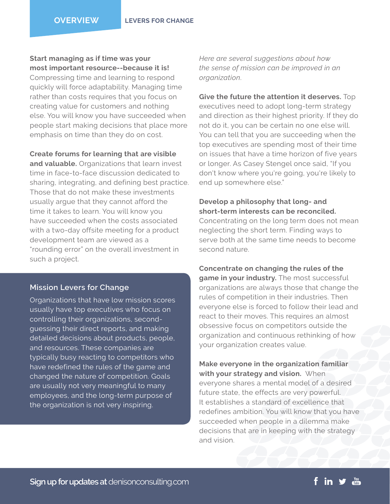**Start managing as if time was your most important resource--because it is!** 

Compressing time and learning to respond quickly will force adaptability. Managing time rather than costs requires that you focus on creating value for customers and nothing else. You will know you have succeeded when people start making decisions that place more emphasis on time than they do on cost.

**Create forums for learning that are visible and valuable.** Organizations that learn invest time in face-to-face discussion dedicated to sharing, integrating, and defining best practice. Those that do not make these investments usually argue that they cannot afford the time it takes to learn. You will know you have succeeded when the costs associated with a two-day offsite meeting for a product development team are viewed as a "rounding error" on the overall investment in such a project.

# **Mission Levers for Change**

Organizations that have low mission scores usually have top executives who focus on controlling their organizations, secondguessing their direct reports, and making detailed decisions about products, people, and resources. These companies are typically busy reacting to competitors who have redefined the rules of the game and changed the nature of competition. Goals are usually not very meaningful to many employees, and the long-term purpose of the organization is not very inspiring.

*Here are several suggestions about how the sense of mission can be improved in an organization*.

**Give the future the attention it deserves.** Top executives need to adopt long-term strategy and direction as their highest priority. If they do not do it, you can be certain no one else will. You can tell that you are succeeding when the top executives are spending most of their time on issues that have a time horizon of five years or longer. As Casey Stengel once said, "If you don't know where you're going, you're likely to end up somewhere else."

# **Develop a philosophy that long- and short-term interests can be reconciled.**

Concentrating on the long term does not mean neglecting the short term. Finding ways to serve both at the same time needs to become second nature.

## **Concentrate on changing the rules of the**

**game in your industry.** The most successful organizations are always those that change the rules of competition in their industries. Then everyone else is forced to follow their lead and react to their moves. This requires an almost obsessive focus on competitors outside the organization and continuous rethinking of how your organization creates value.

# **Make everyone in the organization familiar with your strategy and vision.** When

everyone shares a mental model of a desired future state, the effects are very powerful. It establishes a standard of excellence that redefines ambition. You will know that you have succeeded when people in a dilemma make decisions that are in keeping with the strategy and vision.